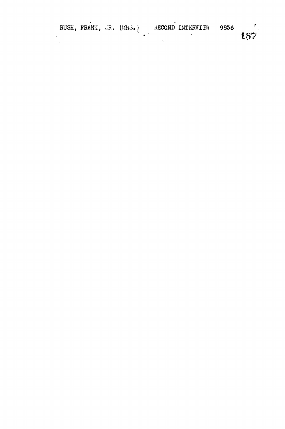|  | RUSH, FRANK, JR. (MR3.) |  | SECOND INTERVIEW | 9836 |     |
|--|-------------------------|--|------------------|------|-----|
|  |                         |  |                  |      | 187 |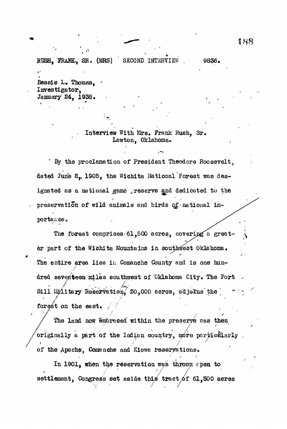RUSH, FRANK, SR. (MRS) SECOND INTERVIEW , 9836.

Bessie L. Thomas, Investigator, January 24, 1938.

## . Interview With Mrs, Frank Rush, Sr. Lawton, Oklahoma.

' By the proclamation of President Theodore Roosevelt, dated June 2. 1905, the Wichita National Forest was designated as a national game preserve and dedicated to the preservation of wild animals and birds of national importance.

The forest comprises 61,500 acres, covering a greater part of the Wichita Mountains in southwest Oklahoma. The entire area lies in Comanche County and is one hundred seventeen miles southwest of Oklahoma City. The Fort Sill Military Reservation, 50,000 acres, adjetos the forest on the east.

The land now Embraced within the preserve was then of the Apache, Comanche and Kiows reservations.

In 1901, when the reservation wes thrown open to settlement. Congress set aside this tract of  $61,500$  acres

set as identified that  $\mathcal{S}_1$  tract  $\mathcal{S}_2$  tract  $\mathcal{S}_3$  acres  $\mathcal{S}_4$  acres  $\mathcal{S}_5$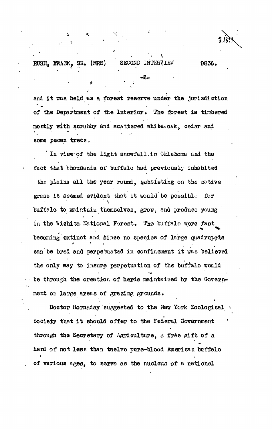RUSH, FRANK, SR. (MRS) SECOND INTERVIEW 9836.

**& \*.**

and it was held as a forest reserve under the jurisdiction of the Department of the Interior. The forest is timbered mostly with scrubby and scattered white oak, cedar and some pecan trees.

In view of the light snowfall in Oklahoma and the fact that thousands of buffalo had previously inhabited the plains all the year round, subsisting on the native grass it seemed evident that it would be possible for  $\cdot$ buffalo to maintain themselves, grow, and produce young in the Wichita. National Forest, The buffalo were fast becoming extinct and since no species of large quadrupeds can be bred and perpetuated in confinement it was believed the only way to insure perpetuation of the buffalo would be through the creation of herds maintained by the Government on large areas of grazing grounds.

Doctor-Hornaday suggested to the New York Zoological • Society that it should offer to the Federal Government through the Secretary of Agriculture, a free gift of a herd of not less than twelve pure-blood American buffalo . of various ages, to servo as the nucleus of a national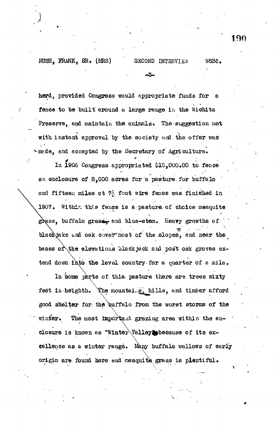herd, provided Congress would appropriate funds for a fence to be built around a large range in the Wichita Preserve, and maintain the animals. The suggestion met with instant approval by the society and the offer was. made, and accepted by the Secretary of Agriculture.

In 1906 Congress appropriated \$15,000.00 to fence an enclosure of 8.000 acres for a pasture for buffalo and fifteen miles ot  $7\frac{3}{10}$  foot wire fence was finished in 1907. Within this fence is a pasture of choice mesquite grass, buffalo grass, and blue-stem. Heavy growths of blackjake and oak cover most of the slopes, and near the bases of the elevations black jack and post oak groves extend down into the level country for a quarter of a mile.

In some parts of this pasture there are trees sixty The mountains, hills, and timber afford feet in helghth. good shelter for the buffalo from the worst storms of the winter. The most important grazing area within the enclosure is known as "Winter Valley because of its excollence as a winter rangé. Many buffalo wallows of early origin are found here and meaquite grass is plentiful.

9836.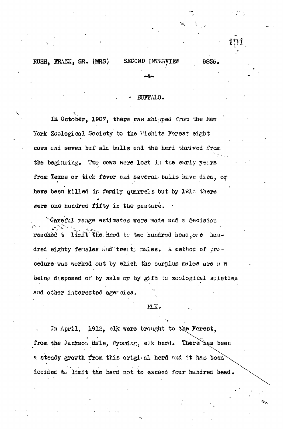RUSH. FRANK, SR. (MRS)

SECOND INTERVIEW 9836.

#### **EUFFALO.**

In October. 1907, there was shipped from the New York Zoological Society to the Wichita Forest eight cows and seven buf ale bulls and the herd thrived from the beginning. Two cows were lost in the early years from Texas or tick fever and several bulls have died, or have been killed in family quarrels but by 1915 there were one hundred fifty in the pasture.

Careful range estimates were made and a decision limit the herd to two hundred head ore hunreached t dred eighty feusles and twent, males. A method of procedure was worked out by which the surplus males are n w being disposed of by sale or by gift to zoological soleties and other interested agercies.

#### MK.

In April, 1912, elk were brought to the Forest, from the Jackson Hale, Wyoming, elk herd. There bas been a steady growth from this original herd and it has been decided to limit the herd not to exceed four hundred head.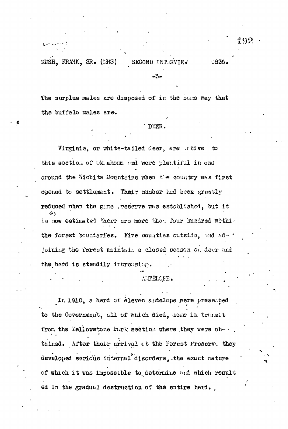RUSH. FRANK. SR. (LRS) SECOND INTERVIES 0836.

The surplus males are disposed of in the same way that the buffalo males are.

#### DEER.

-5-

Virginia, or white-tailed deer, are ative to this section of Wk ahoma and were plentiful in and around the Wichita Mountains when the country was first opened to settlement. Their number had been greatly reduced when the gime , reserve was established, but it かい is now estimated there are more that four hundred withis the forest bounderies. Five counties outside, and ad- . joining the forest maintain a closed season on deer and the herd is steadily increasing.

#### MARMOFE.

In 1910, a herd of eleven antelope were presented to the Government, all of which died, some in transit from the Yellowstone Park section where they were ob-.. tained. After their arrival at the Forest Preserve they developed serious internal disorders, the exact nature of which it was impossible to determine and which result ed in the gradual destruction of the entire herd.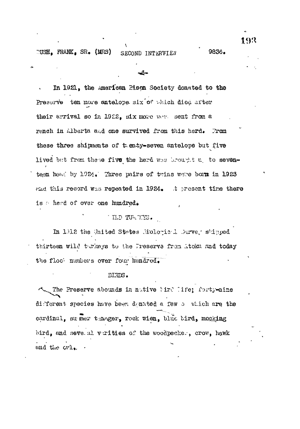$TUSH$ , FRANK, SR. (MRS) SECOND INTERVIEW

# In 1921, the american Rison Society donated to the Prescrve ten more antelope six of which died after their arrival so in 1922, six more were sent from a ranch in Alberta and one survived from this herd. From these three shipments of thenty-seven antelope but five lived but from these five the herd was brought up to seventeen head by 1924. Three pairs of twins were born in 1923 what this record was repeated in 1924. It present time there is therd of over one hundred.

### TLD TURTIYS.

In 1012 the United States Mologic 1 Durve, shipped thirteen wild turkeys to the Freserve from Atoku and today the floc- numbers over four hundred.

#### BIRDS.

The Preserve abounds in native bird life; forty-nine different species have been denated a few a which are the cardinal, su mer tanger, rock wien, blue bird, mocking bird, and seve al verities of the woodpecker, crow, hawk und the Grl.

9836.